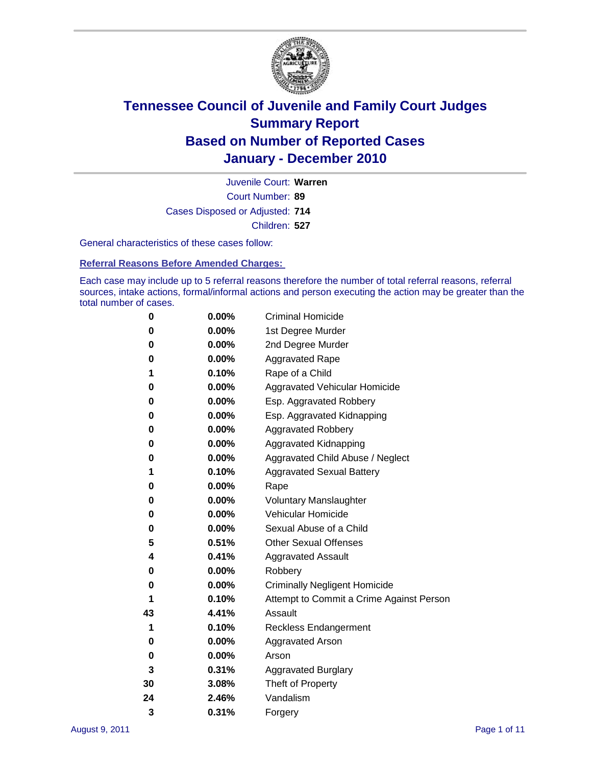

Court Number: **89** Juvenile Court: **Warren** Cases Disposed or Adjusted: **714** Children: **527**

General characteristics of these cases follow:

**Referral Reasons Before Amended Charges:** 

Each case may include up to 5 referral reasons therefore the number of total referral reasons, referral sources, intake actions, formal/informal actions and person executing the action may be greater than the total number of cases.

| 0  | 0.00%    | <b>Criminal Homicide</b>                 |
|----|----------|------------------------------------------|
| 0  | 0.00%    | 1st Degree Murder                        |
| 0  | 0.00%    | 2nd Degree Murder                        |
| 0  | 0.00%    | <b>Aggravated Rape</b>                   |
| 1  | 0.10%    | Rape of a Child                          |
| 0  | 0.00%    | Aggravated Vehicular Homicide            |
| 0  | 0.00%    | Esp. Aggravated Robbery                  |
| 0  | 0.00%    | Esp. Aggravated Kidnapping               |
| 0  | 0.00%    | <b>Aggravated Robbery</b>                |
| 0  | 0.00%    | Aggravated Kidnapping                    |
| 0  | 0.00%    | Aggravated Child Abuse / Neglect         |
| 1  | 0.10%    | <b>Aggravated Sexual Battery</b>         |
| 0  | 0.00%    | Rape                                     |
| 0  | $0.00\%$ | <b>Voluntary Manslaughter</b>            |
| 0  | 0.00%    | Vehicular Homicide                       |
| 0  | 0.00%    | Sexual Abuse of a Child                  |
| 5  | 0.51%    | <b>Other Sexual Offenses</b>             |
| 4  | 0.41%    | <b>Aggravated Assault</b>                |
| 0  | $0.00\%$ | Robbery                                  |
| 0  | 0.00%    | <b>Criminally Negligent Homicide</b>     |
| 1  | 0.10%    | Attempt to Commit a Crime Against Person |
| 43 | 4.41%    | Assault                                  |
| 1  | 0.10%    | <b>Reckless Endangerment</b>             |
| 0  | 0.00%    | <b>Aggravated Arson</b>                  |
| 0  | 0.00%    | Arson                                    |
| 3  | 0.31%    | <b>Aggravated Burglary</b>               |
| 30 | 3.08%    | Theft of Property                        |
| 24 | 2.46%    | Vandalism                                |
| 3  | 0.31%    | Forgery                                  |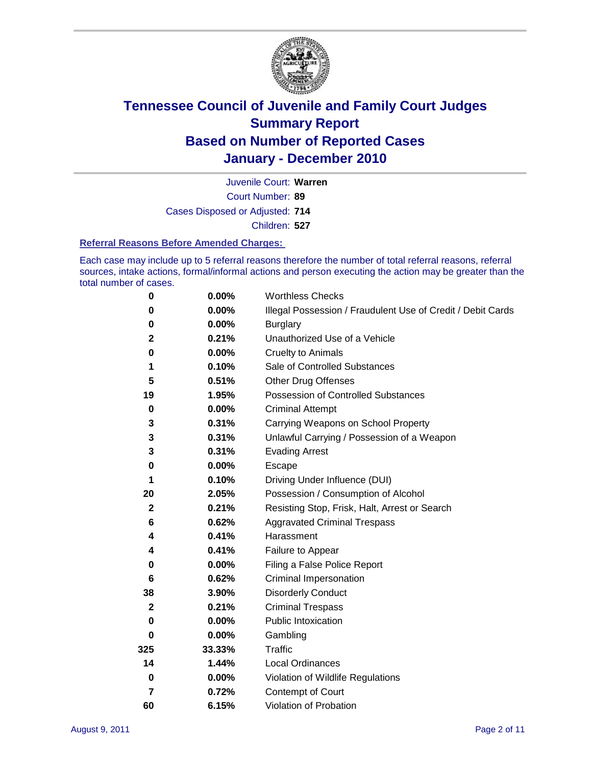

Court Number: **89** Juvenile Court: **Warren** Cases Disposed or Adjusted: **714**

Children: **527**

#### **Referral Reasons Before Amended Charges:**

Each case may include up to 5 referral reasons therefore the number of total referral reasons, referral sources, intake actions, formal/informal actions and person executing the action may be greater than the total number of cases.

| $\pmb{0}$    | 0.00%    | <b>Worthless Checks</b>                                     |
|--------------|----------|-------------------------------------------------------------|
| 0            | 0.00%    | Illegal Possession / Fraudulent Use of Credit / Debit Cards |
| $\pmb{0}$    | 0.00%    | <b>Burglary</b>                                             |
| $\mathbf{2}$ | 0.21%    | Unauthorized Use of a Vehicle                               |
| 0            | $0.00\%$ | <b>Cruelty to Animals</b>                                   |
| 1            | 0.10%    | Sale of Controlled Substances                               |
| 5            | 0.51%    | <b>Other Drug Offenses</b>                                  |
| 19           | 1.95%    | Possession of Controlled Substances                         |
| $\mathbf 0$  | $0.00\%$ | <b>Criminal Attempt</b>                                     |
| 3            | 0.31%    | Carrying Weapons on School Property                         |
| 3            | 0.31%    | Unlawful Carrying / Possession of a Weapon                  |
| 3            | 0.31%    | <b>Evading Arrest</b>                                       |
| 0            | 0.00%    | Escape                                                      |
| 1            | 0.10%    | Driving Under Influence (DUI)                               |
| 20           | 2.05%    | Possession / Consumption of Alcohol                         |
| $\mathbf 2$  | 0.21%    | Resisting Stop, Frisk, Halt, Arrest or Search               |
| 6            | 0.62%    | <b>Aggravated Criminal Trespass</b>                         |
| 4            | 0.41%    | Harassment                                                  |
| 4            | 0.41%    | Failure to Appear                                           |
| 0            | $0.00\%$ | Filing a False Police Report                                |
| 6            | 0.62%    | Criminal Impersonation                                      |
| 38           | 3.90%    | <b>Disorderly Conduct</b>                                   |
| $\mathbf{2}$ | 0.21%    | <b>Criminal Trespass</b>                                    |
| $\bf{0}$     | 0.00%    | Public Intoxication                                         |
| 0            | 0.00%    | Gambling                                                    |
| 325          | 33.33%   | <b>Traffic</b>                                              |
| 14           | 1.44%    | Local Ordinances                                            |
| $\pmb{0}$    | 0.00%    | Violation of Wildlife Regulations                           |
| 7            | 0.72%    | Contempt of Court                                           |
| 60           | 6.15%    | Violation of Probation                                      |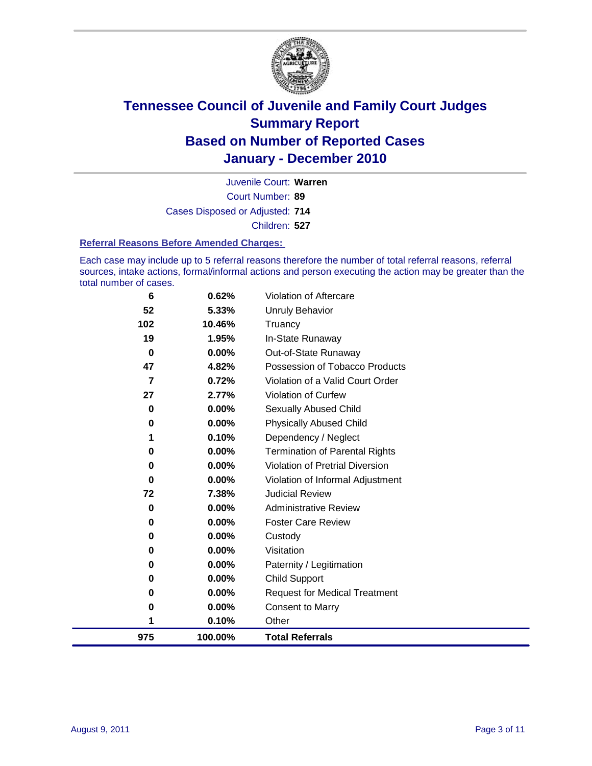

Court Number: **89** Juvenile Court: **Warren** Cases Disposed or Adjusted: **714** Children: **527**

#### **Referral Reasons Before Amended Charges:**

Each case may include up to 5 referral reasons therefore the number of total referral reasons, referral sources, intake actions, formal/informal actions and person executing the action may be greater than the total number of cases.

| 975            | 100.00%  | <b>Total Referrals</b>                 |
|----------------|----------|----------------------------------------|
| 1              | 0.10%    | Other                                  |
| 0              | 0.00%    | <b>Consent to Marry</b>                |
| 0              | 0.00%    | <b>Request for Medical Treatment</b>   |
| 0              | 0.00%    | <b>Child Support</b>                   |
| 0              | 0.00%    | Paternity / Legitimation               |
| 0              | 0.00%    | Visitation                             |
| 0              | 0.00%    | Custody                                |
| 0              | 0.00%    | <b>Foster Care Review</b>              |
| 0              | $0.00\%$ | <b>Administrative Review</b>           |
| 72             | 7.38%    | <b>Judicial Review</b>                 |
| 0              | $0.00\%$ | Violation of Informal Adjustment       |
| 0              | $0.00\%$ | <b>Violation of Pretrial Diversion</b> |
| 0              | 0.00%    | Termination of Parental Rights         |
| 1              | 0.10%    | Dependency / Neglect                   |
| 0              | $0.00\%$ | <b>Physically Abused Child</b>         |
| 0              | 0.00%    | <b>Sexually Abused Child</b>           |
| 27             | 2.77%    | Violation of Curfew                    |
| $\overline{7}$ | 0.72%    | Violation of a Valid Court Order       |
| 47             | 4.82%    | Possession of Tobacco Products         |
| $\mathbf 0$    | $0.00\%$ | Out-of-State Runaway                   |
| 19             | 1.95%    | In-State Runaway                       |
| 102            | 10.46%   | <b>Unruly Behavior</b><br>Truancy      |
| 52             | 5.33%    |                                        |
| 6              | 0.62%    | Violation of Aftercare                 |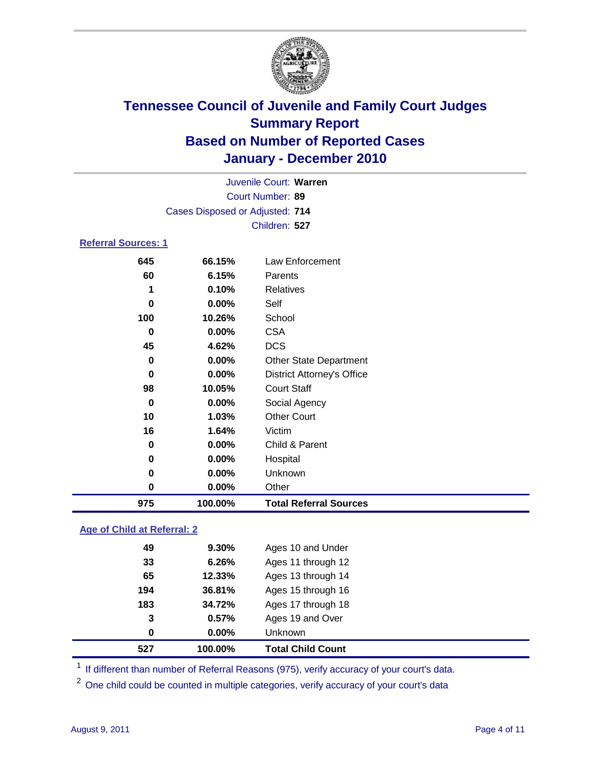

| Juvenile Court: Warren          |                  |                                   |  |  |  |
|---------------------------------|------------------|-----------------------------------|--|--|--|
|                                 | Court Number: 89 |                                   |  |  |  |
| Cases Disposed or Adjusted: 714 |                  |                                   |  |  |  |
|                                 |                  | Children: 527                     |  |  |  |
| <b>Referral Sources: 1</b>      |                  |                                   |  |  |  |
| 645                             | 66.15%           | Law Enforcement                   |  |  |  |
| 60                              | 6.15%            | Parents                           |  |  |  |
| 1                               | 0.10%            | Relatives                         |  |  |  |
| 0                               | 0.00%            | Self                              |  |  |  |
| 100                             | 10.26%           | School                            |  |  |  |
| 0                               | 0.00%            | <b>CSA</b>                        |  |  |  |
| 45                              | 4.62%            | <b>DCS</b>                        |  |  |  |
| $\bf{0}$                        | 0.00%            | <b>Other State Department</b>     |  |  |  |
| 0                               | 0.00%            | <b>District Attorney's Office</b> |  |  |  |
| 98                              | 10.05%           | <b>Court Staff</b>                |  |  |  |
| 0                               | 0.00%            | Social Agency                     |  |  |  |
| 10                              | 1.03%            | <b>Other Court</b>                |  |  |  |
| 16                              | 1.64%            | Victim                            |  |  |  |
| 0                               | 0.00%            | Child & Parent                    |  |  |  |
| 0                               | 0.00%            | Hospital                          |  |  |  |
| 0                               | 0.00%            | Unknown                           |  |  |  |
| 0                               | 0.00%            | Other                             |  |  |  |
| 975                             | 100.00%          | <b>Total Referral Sources</b>     |  |  |  |

### **Age of Child at Referral: 2**

| 527 | 100.00%  | <b>Total Child Count</b> |
|-----|----------|--------------------------|
| 0   | $0.00\%$ | <b>Unknown</b>           |
| 3   | 0.57%    | Ages 19 and Over         |
| 183 | 34.72%   | Ages 17 through 18       |
| 194 | 36.81%   | Ages 15 through 16       |
| 65  | 12.33%   | Ages 13 through 14       |
| 33  | 6.26%    | Ages 11 through 12       |
| 49  | $9.30\%$ | Ages 10 and Under        |
|     |          |                          |

<sup>1</sup> If different than number of Referral Reasons (975), verify accuracy of your court's data.

<sup>2</sup> One child could be counted in multiple categories, verify accuracy of your court's data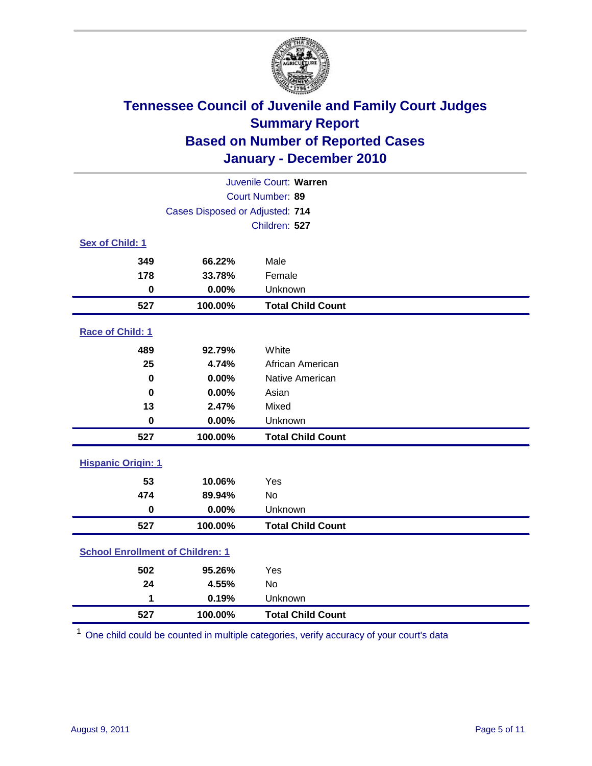

|                           | Juvenile Court: Warren                  |                          |  |  |  |
|---------------------------|-----------------------------------------|--------------------------|--|--|--|
| Court Number: 89          |                                         |                          |  |  |  |
|                           | Cases Disposed or Adjusted: 714         |                          |  |  |  |
|                           |                                         | Children: 527            |  |  |  |
| Sex of Child: 1           |                                         |                          |  |  |  |
| 349                       | 66.22%                                  | Male                     |  |  |  |
| 178                       | 33.78%                                  | Female                   |  |  |  |
| $\mathbf 0$               | 0.00%                                   | Unknown                  |  |  |  |
| 527                       | 100.00%                                 | <b>Total Child Count</b> |  |  |  |
| Race of Child: 1          |                                         |                          |  |  |  |
| 489                       | 92.79%                                  | White                    |  |  |  |
| 25                        | 4.74%                                   | African American         |  |  |  |
| $\mathbf 0$               | 0.00%                                   | Native American          |  |  |  |
| $\bf{0}$                  | 0.00%                                   | Asian                    |  |  |  |
| 13                        | 2.47%                                   | Mixed                    |  |  |  |
| $\mathbf 0$               | 0.00%                                   | Unknown                  |  |  |  |
| 527                       | 100.00%                                 | <b>Total Child Count</b> |  |  |  |
| <b>Hispanic Origin: 1</b> |                                         |                          |  |  |  |
| 53                        | 10.06%                                  | Yes                      |  |  |  |
| 474                       | 89.94%                                  | No                       |  |  |  |
| $\mathbf 0$               | 0.00%                                   | Unknown                  |  |  |  |
| 527                       | 100.00%                                 | <b>Total Child Count</b> |  |  |  |
|                           | <b>School Enrollment of Children: 1</b> |                          |  |  |  |
| 502                       | 95.26%                                  | Yes                      |  |  |  |
| 24                        | 4.55%                                   | No                       |  |  |  |
| 1                         | 0.19%                                   | Unknown                  |  |  |  |
| 527                       | 100.00%                                 | <b>Total Child Count</b> |  |  |  |

One child could be counted in multiple categories, verify accuracy of your court's data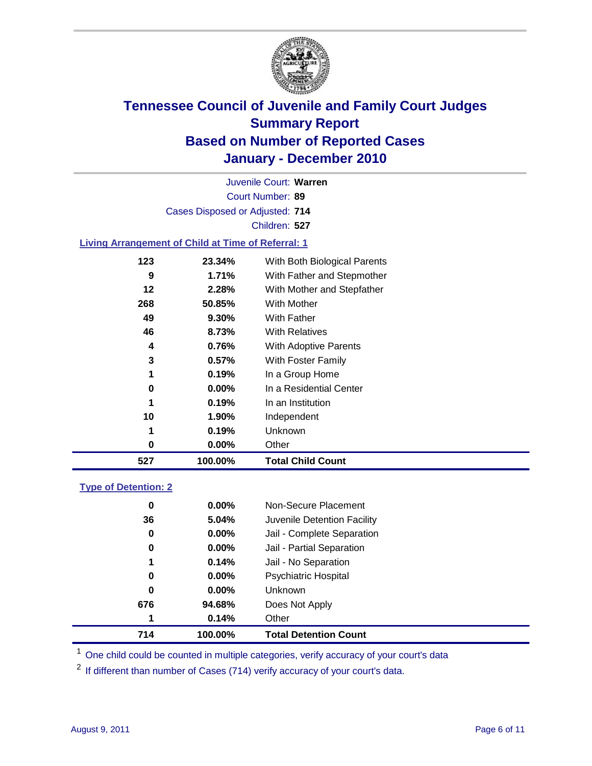

Court Number: **89** Juvenile Court: **Warren** Cases Disposed or Adjusted: **714** Children: **527 Living Arrangement of Child at Time of Referral: 1 23.34%** With Both Biological Parents

| 527 | 100.00%  | <b>Total Child Count</b>                |  |
|-----|----------|-----------------------------------------|--|
| 0   | $0.00\%$ | Other                                   |  |
| 1   | 0.19%    | Unknown                                 |  |
| 10  | 1.90%    | Independent                             |  |
| 1   | 0.19%    | In an Institution                       |  |
| 0   | $0.00\%$ | In a Residential Center                 |  |
| 1   | 0.19%    | In a Group Home                         |  |
| 3   | 0.57%    | <b>With Foster Family</b>               |  |
| 4   | 0.76%    | With Adoptive Parents                   |  |
| 46  | 8.73%    | <b>With Relatives</b>                   |  |
| 49  | 9.30%    | <b>With Father</b>                      |  |
| 268 | 50.85%   | With Mother                             |  |
| 12  | 2.28%    | With Mother and Stepfather              |  |
| 9   | 1.71%    | With Father and Stepmother              |  |
| د ۱ | ZJ.J470  | <b>VVIIII DUIII DIUIUGICAI FAIEIIIS</b> |  |

### **Type of Detention: 2**

| 714 | 100.00%  | <b>Total Detention Count</b> |
|-----|----------|------------------------------|
| 1   | 0.14%    | Other                        |
| 676 | 94.68%   | Does Not Apply               |
| 0   | $0.00\%$ | Unknown                      |
| 0   | $0.00\%$ | Psychiatric Hospital         |
| 1   | 0.14%    | Jail - No Separation         |
| 0   | $0.00\%$ | Jail - Partial Separation    |
| 0   | 0.00%    | Jail - Complete Separation   |
| 36  | 5.04%    | Juvenile Detention Facility  |
| 0   | $0.00\%$ | Non-Secure Placement         |
|     |          |                              |

<sup>1</sup> One child could be counted in multiple categories, verify accuracy of your court's data

<sup>2</sup> If different than number of Cases (714) verify accuracy of your court's data.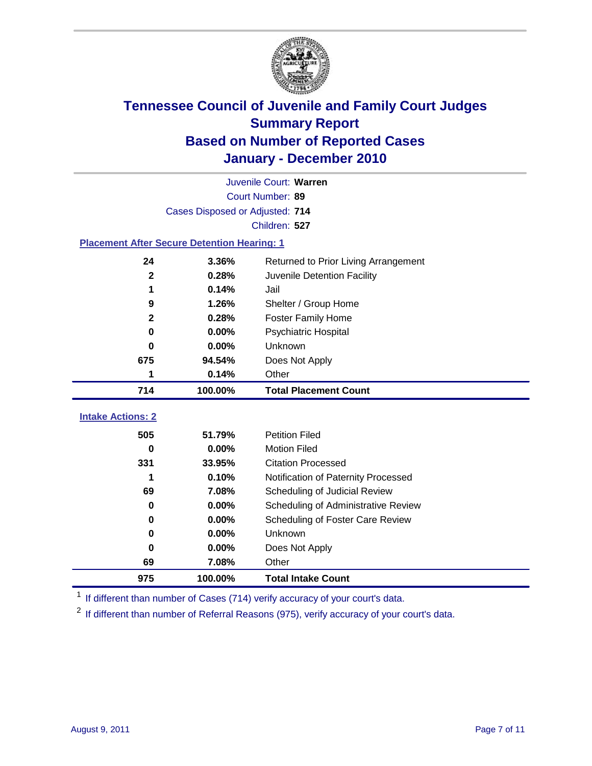

|                                                    | Juvenile Court: Warren          |                                      |  |  |  |
|----------------------------------------------------|---------------------------------|--------------------------------------|--|--|--|
|                                                    | Court Number: 89                |                                      |  |  |  |
|                                                    | Cases Disposed or Adjusted: 714 |                                      |  |  |  |
|                                                    |                                 | Children: 527                        |  |  |  |
| <b>Placement After Secure Detention Hearing: 1</b> |                                 |                                      |  |  |  |
| 24                                                 | 3.36%                           | Returned to Prior Living Arrangement |  |  |  |
| $\mathbf{2}$                                       | 0.28%                           | Juvenile Detention Facility          |  |  |  |
| 1                                                  | 0.14%                           | Jail                                 |  |  |  |
| 9                                                  | 1.26%                           | Shelter / Group Home                 |  |  |  |
| $\mathbf 2$                                        | 0.28%                           | Foster Family Home                   |  |  |  |
| 0                                                  | 0.00%                           | Psychiatric Hospital                 |  |  |  |
| 0                                                  | 0.00%                           | Unknown                              |  |  |  |
| 675                                                | 94.54%                          | Does Not Apply                       |  |  |  |
| 1                                                  | 0.14%                           | Other                                |  |  |  |
|                                                    |                                 |                                      |  |  |  |
| 714                                                | 100.00%                         | <b>Total Placement Count</b>         |  |  |  |
|                                                    |                                 |                                      |  |  |  |
| <b>Intake Actions: 2</b>                           | 51.79%                          | <b>Petition Filed</b>                |  |  |  |
| 505<br>0                                           | 0.00%                           | <b>Motion Filed</b>                  |  |  |  |
| 331                                                | 33.95%                          | <b>Citation Processed</b>            |  |  |  |
| 1                                                  | 0.10%                           | Notification of Paternity Processed  |  |  |  |
| 69                                                 | 7.08%                           | Scheduling of Judicial Review        |  |  |  |
| 0                                                  | 0.00%                           | Scheduling of Administrative Review  |  |  |  |
| 0                                                  | 0.00%                           | Scheduling of Foster Care Review     |  |  |  |
| 0                                                  | 0.00%                           | Unknown                              |  |  |  |
| 0                                                  | 0.00%                           | Does Not Apply                       |  |  |  |
| 69                                                 | 7.08%                           | Other                                |  |  |  |

<sup>1</sup> If different than number of Cases (714) verify accuracy of your court's data.

<sup>2</sup> If different than number of Referral Reasons (975), verify accuracy of your court's data.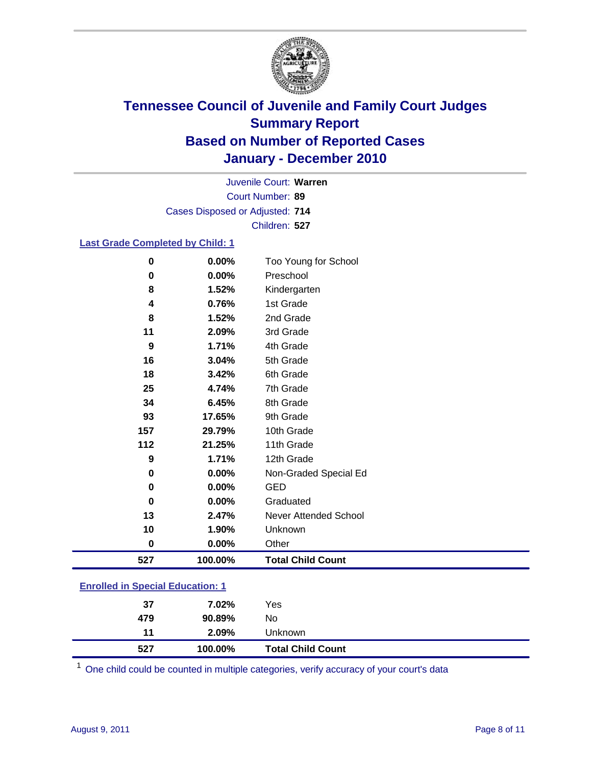

Court Number: **89** Juvenile Court: **Warren** Cases Disposed or Adjusted: **714** Children: **527**

### **Last Grade Completed by Child: 1**

| 527      | 100.00%  | <b>Total Child Count</b>     |  |
|----------|----------|------------------------------|--|
| $\bf{0}$ | 0.00%    | Other                        |  |
| 10       | 1.90%    | Unknown                      |  |
| 13       | 2.47%    | <b>Never Attended School</b> |  |
| 0        | $0.00\%$ | Graduated                    |  |
| 0        | 0.00%    | <b>GED</b>                   |  |
| 0        | 0.00%    | Non-Graded Special Ed        |  |
| 9        | 1.71%    | 12th Grade                   |  |
| 112      | 21.25%   | 11th Grade                   |  |
| 157      | 29.79%   | 10th Grade                   |  |
| 93       | 17.65%   | 9th Grade                    |  |
| 34       | 6.45%    | 8th Grade                    |  |
| 25       | 4.74%    | 7th Grade                    |  |
| 18       | 3.42%    | 6th Grade                    |  |
| 16       | 3.04%    | 5th Grade                    |  |
| 9        | 1.71%    | 4th Grade                    |  |
| 11       | 2.09%    | 3rd Grade                    |  |
| 8        | 1.52%    | 2nd Grade                    |  |
| 4        | 0.76%    | 1st Grade                    |  |
| 8        | 1.52%    | Kindergarten                 |  |
| 0        | 0.00%    | Preschool                    |  |
| $\bf{0}$ | 0.00%    | Too Young for School         |  |

### **Enrolled in Special Education: 1**

| 527 | 100.00%        | <b>Total Child Count</b> |  |
|-----|----------------|--------------------------|--|
|     | $2.09\%$<br>11 | <b>Unknown</b>           |  |
| 479 | 90.89%         | No                       |  |
|     | 37<br>7.02%    | Yes                      |  |
|     |                |                          |  |

One child could be counted in multiple categories, verify accuracy of your court's data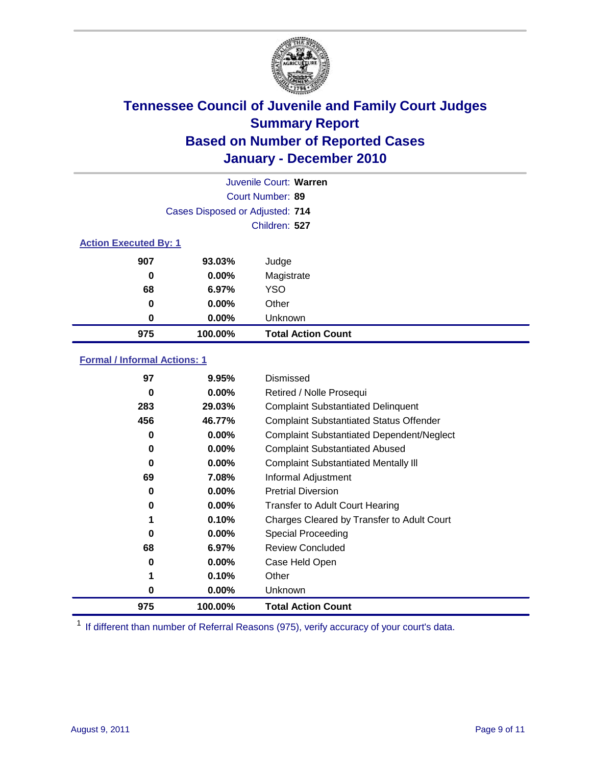

|                              | Juvenile Court: Warren          |                           |  |  |  |
|------------------------------|---------------------------------|---------------------------|--|--|--|
|                              | Court Number: 89                |                           |  |  |  |
|                              | Cases Disposed or Adjusted: 714 |                           |  |  |  |
|                              | Children: 527                   |                           |  |  |  |
| <b>Action Executed By: 1</b> |                                 |                           |  |  |  |
| 907                          | 93.03%                          | Judge                     |  |  |  |
| 0                            | $0.00\%$                        | Magistrate                |  |  |  |
| 68                           | 6.97%                           | <b>YSO</b>                |  |  |  |
| 0                            | 0.00%                           | Other                     |  |  |  |
| 0                            | 0.00%                           | Unknown                   |  |  |  |
| 975                          | 100.00%                         | <b>Total Action Count</b> |  |  |  |

### **Formal / Informal Actions: 1**

| 97  | 9.95%    | Dismissed                                        |
|-----|----------|--------------------------------------------------|
| 0   | $0.00\%$ | Retired / Nolle Prosequi                         |
| 283 | 29.03%   | <b>Complaint Substantiated Delinquent</b>        |
| 456 | 46.77%   | <b>Complaint Substantiated Status Offender</b>   |
| 0   | $0.00\%$ | <b>Complaint Substantiated Dependent/Neglect</b> |
| 0   | $0.00\%$ | <b>Complaint Substantiated Abused</b>            |
| 0   | $0.00\%$ | <b>Complaint Substantiated Mentally III</b>      |
| 69  | 7.08%    | Informal Adjustment                              |
| 0   | $0.00\%$ | <b>Pretrial Diversion</b>                        |
| 0   | $0.00\%$ | <b>Transfer to Adult Court Hearing</b>           |
|     | 0.10%    | Charges Cleared by Transfer to Adult Court       |
| 0   | $0.00\%$ | Special Proceeding                               |
| 68  | 6.97%    | <b>Review Concluded</b>                          |
| 0   | $0.00\%$ | Case Held Open                                   |
| 1   | 0.10%    | Other                                            |
| 0   | $0.00\%$ | Unknown                                          |
| 975 | 100.00%  | <b>Total Action Count</b>                        |

<sup>1</sup> If different than number of Referral Reasons (975), verify accuracy of your court's data.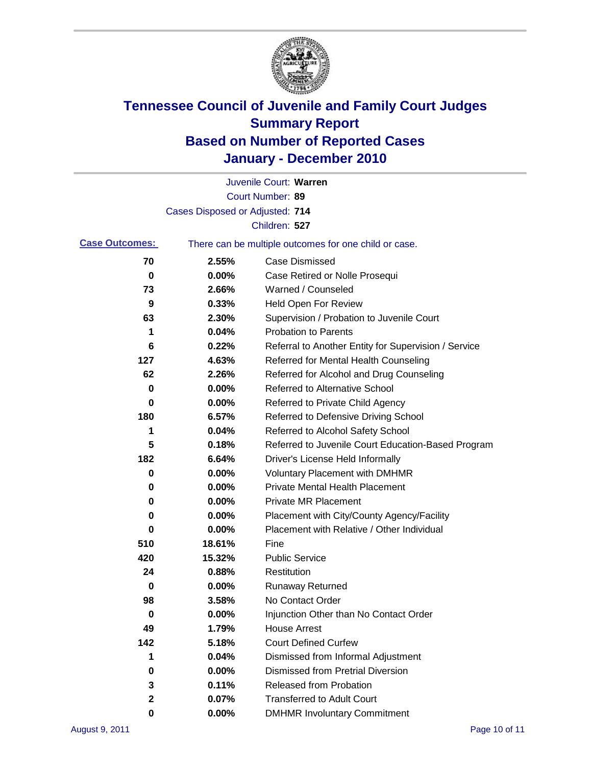

|                       |                                 | Juvenile Court: Warren                                |
|-----------------------|---------------------------------|-------------------------------------------------------|
|                       |                                 | Court Number: 89                                      |
|                       | Cases Disposed or Adjusted: 714 |                                                       |
|                       |                                 | Children: 527                                         |
| <b>Case Outcomes:</b> |                                 | There can be multiple outcomes for one child or case. |
| 70                    | 2.55%                           | <b>Case Dismissed</b>                                 |
| 0                     | 0.00%                           | Case Retired or Nolle Prosequi                        |
| 73                    | 2.66%                           | Warned / Counseled                                    |
| 9                     | 0.33%                           | Held Open For Review                                  |
| 63                    | 2.30%                           | Supervision / Probation to Juvenile Court             |
| 1                     | 0.04%                           | <b>Probation to Parents</b>                           |
| 6                     | 0.22%                           | Referral to Another Entity for Supervision / Service  |
| 127                   | 4.63%                           | Referred for Mental Health Counseling                 |
| 62                    | 2.26%                           | Referred for Alcohol and Drug Counseling              |
| 0                     | 0.00%                           | <b>Referred to Alternative School</b>                 |
| 0                     | 0.00%                           | Referred to Private Child Agency                      |
| 180                   | 6.57%                           | Referred to Defensive Driving School                  |
| 1                     | 0.04%                           | Referred to Alcohol Safety School                     |
| 5                     | 0.18%                           | Referred to Juvenile Court Education-Based Program    |
| 182                   | 6.64%                           | Driver's License Held Informally                      |
| 0                     | 0.00%                           | <b>Voluntary Placement with DMHMR</b>                 |
| 0                     | 0.00%                           | <b>Private Mental Health Placement</b>                |
| 0                     | 0.00%                           | <b>Private MR Placement</b>                           |
| 0                     | 0.00%                           | Placement with City/County Agency/Facility            |
| 0                     | 0.00%                           | Placement with Relative / Other Individual            |
| 510                   | 18.61%                          | Fine                                                  |
| 420                   | 15.32%                          | <b>Public Service</b>                                 |
| 24                    | 0.88%                           | Restitution                                           |
| 0                     | 0.00%                           | <b>Runaway Returned</b>                               |
| 98                    | 3.58%                           | No Contact Order                                      |
| 0                     | 0.00%                           | Injunction Other than No Contact Order                |
| 49                    | 1.79%                           | <b>House Arrest</b>                                   |
| 142                   | 5.18%                           | <b>Court Defined Curfew</b>                           |
| 1                     | 0.04%                           | Dismissed from Informal Adjustment                    |
| 0                     | 0.00%                           | <b>Dismissed from Pretrial Diversion</b>              |
| 3                     | 0.11%                           | Released from Probation                               |
| 2                     | 0.07%                           | <b>Transferred to Adult Court</b>                     |
| 0                     | 0.00%                           | <b>DMHMR Involuntary Commitment</b>                   |